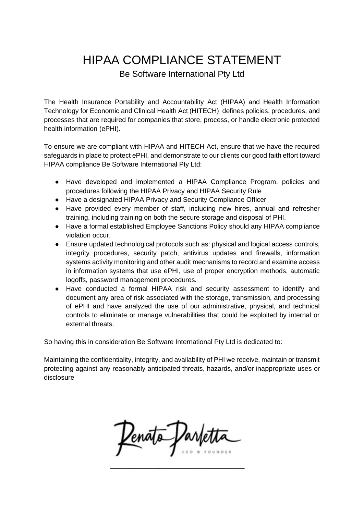## HIPAA COMPLIANCE STATEMENT

Be Software International Pty Ltd

The Health Insurance Portability and Accountability Act (HIPAA) and Health Information Technology for Economic and Clinical Health Act (HITECH) defines policies, procedures, and processes that are required for companies that store, process, or handle electronic protected health information (ePHI).

To ensure we are compliant with HIPAA and HITECH Act, ensure that we have the required safeguards in place to protect ePHI, and demonstrate to our clients our good faith effort toward HIPAA compliance Be Software International Pty Ltd:

- Have developed and implemented a HIPAA Compliance Program, policies and procedures following the HIPAA Privacy and HIPAA Security Rule
- Have a designated HIPAA Privacy and Security Compliance Officer
- Have provided every member of staff, including new hires, annual and refresher training, including training on both the secure storage and disposal of PHI.
- Have a formal established Employee Sanctions Policy should any HIPAA compliance violation occur.
- Ensure updated technological protocols such as: physical and logical access controls, integrity procedures, security patch, antivirus updates and firewalls, information systems activity monitoring and other audit mechanisms to record and examine access in information systems that use ePHI, use of proper encryption methods, automatic logoffs, password management procedures.
- Have conducted a formal HIPAA risk and security assessment to identify and document any area of risk associated with the storage, transmission, and processing of ePHI and have analyzed the use of our administrative, physical, and technical controls to eliminate or manage vulnerabilities that could be exploited by internal or external threats.

So having this in consideration Be Software International Pty Ltd is dedicated to:

Maintaining the confidentiality, integrity, and availability of PHI we receive, maintain or transmit protecting against any reasonably anticipated threats, hazards, and/or inappropriate uses or disclosure

Penato Parlet

\_\_\_\_\_\_\_\_\_\_\_\_\_\_\_\_\_\_\_\_\_\_\_\_\_\_\_\_\_\_\_\_\_\_\_\_